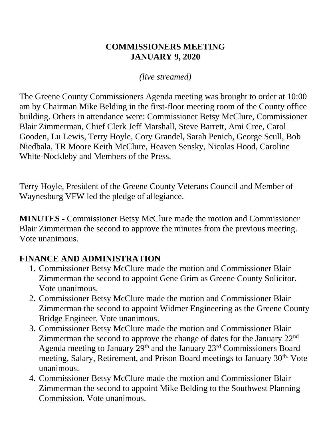#### **COMMISSIONERS MEETING JANUARY 9, 2020**

*(live streamed)*

The Greene County Commissioners Agenda meeting was brought to order at 10:00 am by Chairman Mike Belding in the first-floor meeting room of the County office building. Others in attendance were: Commissioner Betsy McClure, Commissioner Blair Zimmerman, Chief Clerk Jeff Marshall, Steve Barrett, Ami Cree, Carol Gooden, Lu Lewis, Terry Hoyle, Cory Grandel, Sarah Penich, George Scull, Bob Niedbala, TR Moore Keith McClure, Heaven Sensky, Nicolas Hood, Caroline White-Nockleby and Members of the Press.

Terry Hoyle, President of the Greene County Veterans Council and Member of Waynesburg VFW led the pledge of allegiance.

**MINUTES** - Commissioner Betsy McClure made the motion and Commissioner Blair Zimmerman the second to approve the minutes from the previous meeting. Vote unanimous.

#### **FINANCE AND ADMINISTRATION**

- 1. Commissioner Betsy McClure made the motion and Commissioner Blair Zimmerman the second to appoint Gene Grim as Greene County Solicitor. Vote unanimous.
- 2. Commissioner Betsy McClure made the motion and Commissioner Blair Zimmerman the second to appoint Widmer Engineering as the Greene County Bridge Engineer. Vote unanimous.
- 3. Commissioner Betsy McClure made the motion and Commissioner Blair Zimmerman the second to approve the change of dates for the January 22nd Agenda meeting to January 29<sup>th</sup> and the January 23<sup>rd</sup> Commissioners Board meeting, Salary, Retirement, and Prison Board meetings to January 30<sup>th.</sup> Vote unanimous.
- 4. Commissioner Betsy McClure made the motion and Commissioner Blair Zimmerman the second to appoint Mike Belding to the Southwest Planning Commission. Vote unanimous.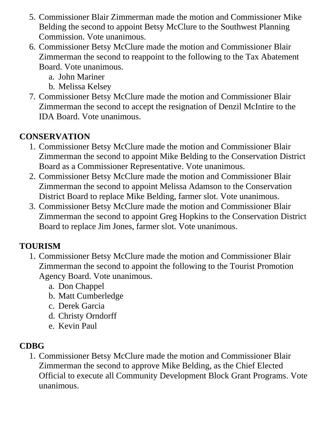- 5. Commissioner Blair Zimmerman made the motion and Commissioner Mike Belding the second to appoint Betsy McClure to the Southwest Planning Commission. Vote unanimous.
- 6. Commissioner Betsy McClure made the motion and Commissioner Blair Zimmerman the second to reappoint to the following to the Tax Abatement Board. Vote unanimous.
	- a. John Mariner
	- b. Melissa Kelsey
- 7. Commissioner Betsy McClure made the motion and Commissioner Blair Zimmerman the second to accept the resignation of Denzil McIntire to the IDA Board. Vote unanimous.

## **CONSERVATION**

- 1. Commissioner Betsy McClure made the motion and Commissioner Blair Zimmerman the second to appoint Mike Belding to the Conservation District Board as a Commissioner Representative. Vote unanimous.
- 2. Commissioner Betsy McClure made the motion and Commissioner Blair Zimmerman the second to appoint Melissa Adamson to the Conservation District Board to replace Mike Belding, farmer slot. Vote unanimous.
- 3. Commissioner Betsy McClure made the motion and Commissioner Blair Zimmerman the second to appoint Greg Hopkins to the Conservation District Board to replace Jim Jones, farmer slot. Vote unanimous.

# **TOURISM**

- 1. Commissioner Betsy McClure made the motion and Commissioner Blair Zimmerman the second to appoint the following to the Tourist Promotion Agency Board. Vote unanimous.
	- a. Don Chappel
	- b. Matt Cumberledge
	- c. Derek Garcia
	- d. Christy Orndorff
	- e. Kevin Paul

# **CDBG**

1. Commissioner Betsy McClure made the motion and Commissioner Blair Zimmerman the second to approve Mike Belding, as the Chief Elected Official to execute all Community Development Block Grant Programs. Vote unanimous.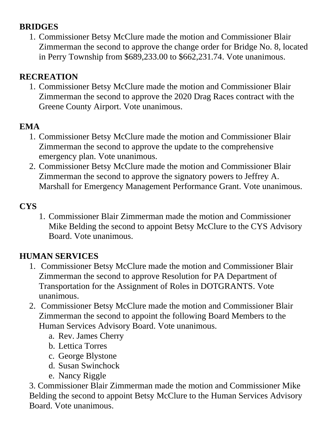### **BRIDGES**

1. Commissioner Betsy McClure made the motion and Commissioner Blair Zimmerman the second to approve the change order for Bridge No. 8, located in Perry Township from \$689,233.00 to \$662,231.74. Vote unanimous.

### **RECREATION**

1. Commissioner Betsy McClure made the motion and Commissioner Blair Zimmerman the second to approve the 2020 Drag Races contract with the Greene County Airport. Vote unanimous.

### **EMA**

- 1. Commissioner Betsy McClure made the motion and Commissioner Blair Zimmerman the second to approve the update to the comprehensive emergency plan. Vote unanimous.
- 2. Commissioner Betsy McClure made the motion and Commissioner Blair Zimmerman the second to approve the signatory powers to Jeffrey A. Marshall for Emergency Management Performance Grant. Vote unanimous.

### **CYS**

1. Commissioner Blair Zimmerman made the motion and Commissioner Mike Belding the second to appoint Betsy McClure to the CYS Advisory Board. Vote unanimous.

## **HUMAN SERVICES**

- 1. Commissioner Betsy McClure made the motion and Commissioner Blair Zimmerman the second to approve Resolution for PA Department of Transportation for the Assignment of Roles in DOTGRANTS. Vote unanimous.
- 2. Commissioner Betsy McClure made the motion and Commissioner Blair Zimmerman the second to appoint the following Board Members to the Human Services Advisory Board. Vote unanimous.
	- a. Rev. James Cherry
	- b. Lettica Torres
	- c. George Blystone
	- d. Susan Swinchock
	- e. Nancy Riggle

3. Commissioner Blair Zimmerman made the motion and Commissioner Mike Belding the second to appoint Betsy McClure to the Human Services Advisory Board. Vote unanimous.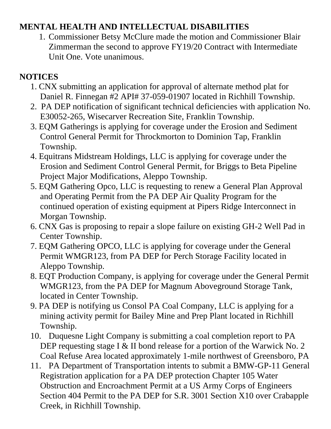### **MENTAL HEALTH AND INTELLECTUAL DISABILITIES**

1. Commissioner Betsy McClure made the motion and Commissioner Blair Zimmerman the second to approve FY19/20 Contract with Intermediate Unit One. Vote unanimous.

## **NOTICES**

- 1. CNX submitting an application for approval of alternate method plat for Daniel R. Finnegan #2 API# 37-059-01907 located in Richhill Township.
- 2. PA DEP notification of significant technical deficiencies with application No. E30052-265, Wisecarver Recreation Site, Franklin Township.
- 3. EQM Gatherings is applying for coverage under the Erosion and Sediment Control General Permit for Throckmorton to Dominion Tap, Franklin Township.
- 4. Equitrans Midstream Holdings, LLC is applying for coverage under the Erosion and Sediment Control General Permit, for Briggs to Beta Pipeline Project Major Modifications, Aleppo Township.
- 5. EQM Gathering Opco, LLC is requesting to renew a General Plan Approval and Operating Permit from the PA DEP Air Quality Program for the continued operation of existing equipment at Pipers Ridge Interconnect in Morgan Township.
- 6. CNX Gas is proposing to repair a slope failure on existing GH-2 Well Pad in Center Township.
- 7. EQM Gathering OPCO, LLC is applying for coverage under the General Permit WMGR123, from PA DEP for Perch Storage Facility located in Aleppo Township.
- 8. EQT Production Company, is applying for coverage under the General Permit WMGR123, from the PA DEP for Magnum Aboveground Storage Tank, located in Center Township.
- 9. PA DEP is notifying us Consol PA Coal Company, LLC is applying for a mining activity permit for Bailey Mine and Prep Plant located in Richhill Township.
- 10. Duquesne Light Company is submitting a coal completion report to PA DEP requesting stage I & II bond release for a portion of the Warwick No. 2 Coal Refuse Area located approximately 1-mile northwest of Greensboro, PA
- 11. PA Department of Transportation intents to submit a BMW-GP-11 General Registration application for a PA DEP protection Chapter 105 Water Obstruction and Encroachment Permit at a US Army Corps of Engineers Section 404 Permit to the PA DEP for S.R. 3001 Section X10 over Crabapple Creek, in Richhill Township.